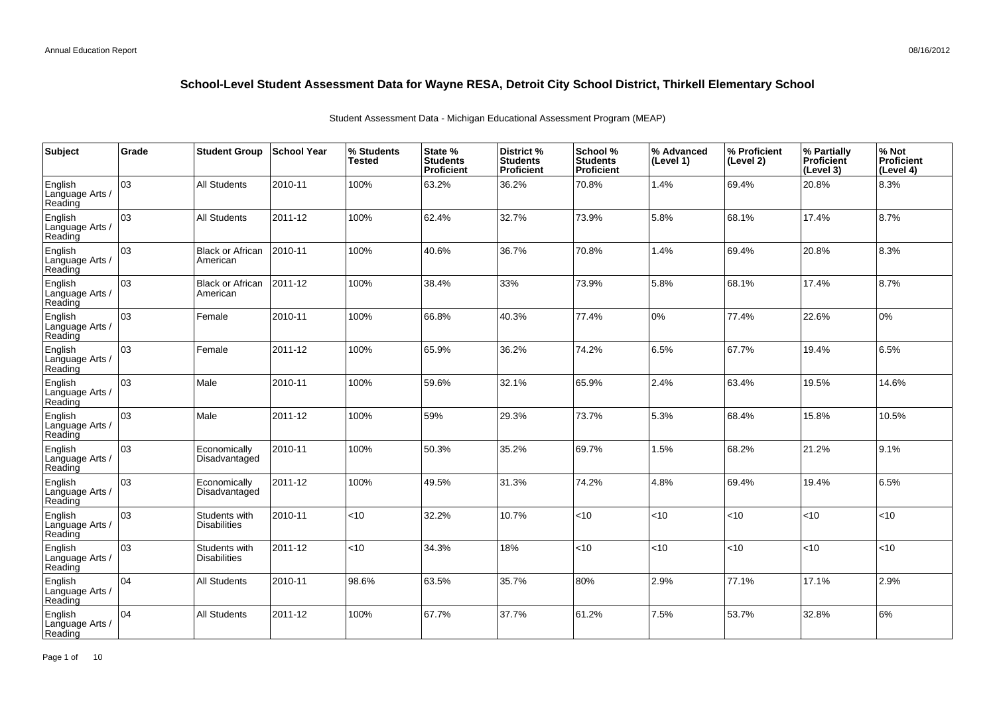| Subject                               | Grade | <b>Student Group</b>                 | <b>School Year</b> | % Students<br>Tested | State %<br><b>Students</b><br>Proficient | District %<br><b>Students</b><br><b>Proficient</b> | School %<br><b>Students</b><br><b>Proficient</b> | % Advanced<br>(Level 1) | ∣% Proficient<br>(Level 2) | % Partially<br>Proficient<br>(Level 3) | % Not<br>Proficient<br>(Level 4) |
|---------------------------------------|-------|--------------------------------------|--------------------|----------------------|------------------------------------------|----------------------------------------------------|--------------------------------------------------|-------------------------|----------------------------|----------------------------------------|----------------------------------|
| English<br>Language Arts /<br>Reading | 03    | <b>All Students</b>                  | 2010-11            | 100%                 | 63.2%                                    | 36.2%                                              | 70.8%                                            | 1.4%                    | 69.4%                      | 20.8%                                  | 8.3%                             |
| English<br>Language Arts /<br>Reading | 03    | <b>All Students</b>                  | 2011-12            | 100%                 | 62.4%                                    | 32.7%                                              | 73.9%                                            | 5.8%                    | 68.1%                      | 17.4%                                  | 8.7%                             |
| English<br>Language Arts /<br>Reading | 03    | <b>Black or African</b><br>American  | 2010-11            | 100%                 | 40.6%                                    | 36.7%                                              | 70.8%                                            | 1.4%                    | 69.4%                      | 20.8%                                  | 8.3%                             |
| English<br>Language Arts /<br>Reading | lo3   | <b>Black or African</b><br>American  | 2011-12            | 100%                 | 38.4%                                    | 33%                                                | 73.9%                                            | 5.8%                    | 68.1%                      | 17.4%                                  | 8.7%                             |
| English<br>Language Arts /<br>Reading | 03    | Female                               | 2010-11            | 100%                 | 66.8%                                    | 40.3%                                              | 77.4%                                            | 0%                      | 77.4%                      | 22.6%                                  | 0%                               |
| English<br>Language Arts /<br>Reading | 03    | Female                               | 2011-12            | 100%                 | 65.9%                                    | 36.2%                                              | 74.2%                                            | 6.5%                    | 67.7%                      | 19.4%                                  | 6.5%                             |
| English<br>Language Arts /<br>Reading | 03    | Male                                 | 2010-11            | 100%                 | 59.6%                                    | 32.1%                                              | 65.9%                                            | 2.4%                    | 63.4%                      | 19.5%                                  | 14.6%                            |
| English<br>Language Arts /<br>Reading | 03    | Male                                 | 2011-12            | 100%                 | 59%                                      | 29.3%                                              | 73.7%                                            | 5.3%                    | 68.4%                      | 15.8%                                  | 10.5%                            |
| English<br>Language Arts<br>Reading   | 03    | Economically<br>Disadvantaged        | 2010-11            | 100%                 | 50.3%                                    | 35.2%                                              | 69.7%                                            | 1.5%                    | 68.2%                      | 21.2%                                  | 9.1%                             |
| English<br>Language Arts<br>Reading   | 03    | Economically<br>Disadvantaged        | 2011-12            | 100%                 | 49.5%                                    | 31.3%                                              | 74.2%                                            | 4.8%                    | 69.4%                      | 19.4%                                  | 6.5%                             |
| English<br>Language Arts /<br>Reading | 03    | Students with<br><b>Disabilities</b> | 2010-11            | $<$ 10               | 32.2%                                    | 10.7%                                              | <10                                              | < 10                    | < 10                       | 10                                     | <10                              |
| English<br>Language Arts<br>Reading   | 03    | Students with<br><b>Disabilities</b> | 2011-12            | <10                  | 34.3%                                    | 18%                                                | <10                                              | < 10                    | < 10                       | <10                                    | <10                              |
| English<br>Language Arts /<br>Reading | 04    | <b>All Students</b>                  | 2010-11            | 98.6%                | 63.5%                                    | 35.7%                                              | 80%                                              | 2.9%                    | 77.1%                      | 17.1%                                  | 2.9%                             |
| English<br>Language Arts<br>Reading   | 04    | <b>All Students</b>                  | 2011-12            | 100%                 | 67.7%                                    | 37.7%                                              | 61.2%                                            | 7.5%                    | 53.7%                      | 32.8%                                  | 6%                               |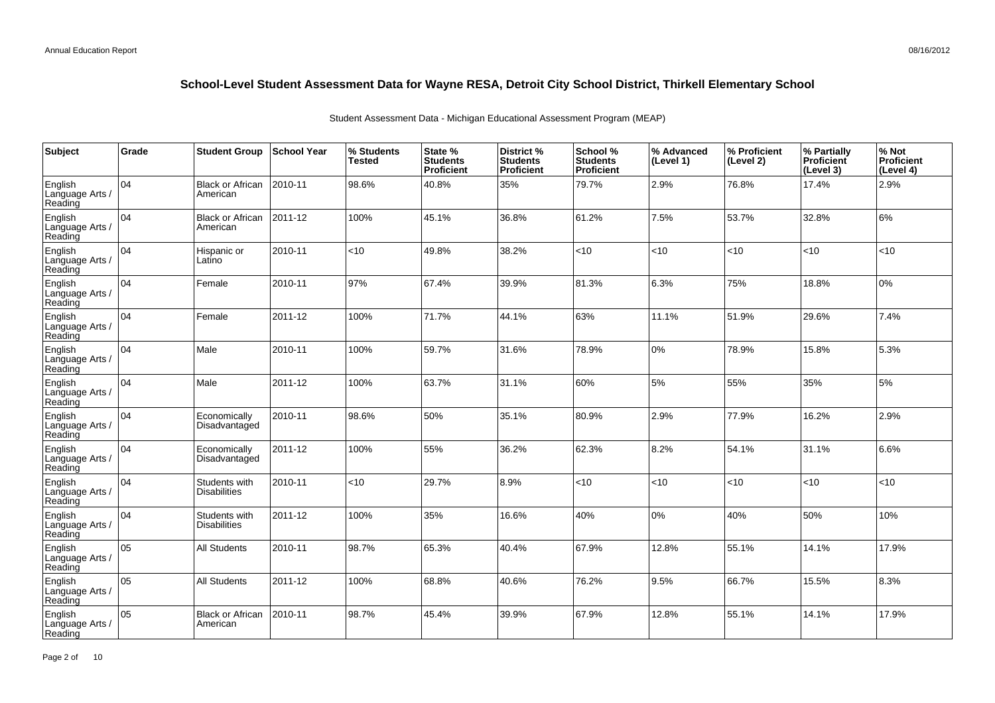| Subject                               | Grade | <b>Student Group</b>                 | <b>School Year</b> | % Students<br><b>Tested</b> | State %<br><b>Students</b><br>Proficient | District %<br><b>Students</b><br><b>Proficient</b> | School %<br><b>Students</b><br><b>Proficient</b> | % Advanced<br>(Level 1) | % Proficient<br>(Level 2) | % Partially<br><b>Proficient</b><br>(Level 3) | % Not<br>Proficient<br>(Level 4) |
|---------------------------------------|-------|--------------------------------------|--------------------|-----------------------------|------------------------------------------|----------------------------------------------------|--------------------------------------------------|-------------------------|---------------------------|-----------------------------------------------|----------------------------------|
| English<br>Language Arts /<br>Reading | 104   | <b>Black or African</b><br>American  | 2010-11            | 98.6%                       | 40.8%                                    | 35%                                                | 79.7%                                            | 2.9%                    | 76.8%                     | 17.4%                                         | 2.9%                             |
| English<br>Language Arts /<br>Reading | 104   | <b>Black or African</b><br>American  | 2011-12            | 100%                        | 45.1%                                    | 36.8%                                              | 61.2%                                            | 7.5%                    | 53.7%                     | 32.8%                                         | 6%                               |
| English<br>Language Arts /<br>Reading | 104   | Hispanic or<br>Latino                | 2010-11            | $<$ 10                      | 49.8%                                    | 38.2%                                              | $<$ 10                                           | < 10                    | $<$ 10                    | $<$ 10                                        | <10                              |
| English<br>Language Arts /<br>Reading | 104   | Female                               | 2010-11            | 97%                         | 67.4%                                    | 39.9%                                              | 81.3%                                            | 6.3%                    | 75%                       | 18.8%                                         | 0%                               |
| English<br>Language Arts /<br>Reading | 104   | Female                               | 2011-12            | 100%                        | 71.7%                                    | 44.1%                                              | 63%                                              | 11.1%                   | 51.9%                     | 29.6%                                         | 7.4%                             |
| English<br>Language Arts /<br>Reading | 104   | Male                                 | 2010-11            | 100%                        | 59.7%                                    | 31.6%                                              | 78.9%                                            | $0\%$                   | 78.9%                     | 15.8%                                         | 5.3%                             |
| English<br>Language Arts /<br>Reading | 104   | Male                                 | 2011-12            | 100%                        | 63.7%                                    | 31.1%                                              | 60%                                              | 5%                      | 55%                       | 35%                                           | 5%                               |
| English<br>Language Arts /<br>Reading | 104   | Economically<br>Disadvantaged        | 2010-11            | 98.6%                       | 50%                                      | 35.1%                                              | 80.9%                                            | 2.9%                    | 77.9%                     | 16.2%                                         | 2.9%                             |
| English<br>Language Arts /<br>Reading | 04    | Economically<br>Disadvantaged        | 2011-12            | 100%                        | 55%                                      | 36.2%                                              | 62.3%                                            | 8.2%                    | 54.1%                     | 31.1%                                         | 6.6%                             |
| English<br>Language Arts /<br>Reading | 04    | Students with<br><b>Disabilities</b> | 2010-11            | $<$ 10                      | 29.7%                                    | 8.9%                                               | < 10                                             | <10                     | <10                       | <10                                           | <10                              |
| English<br>Language Arts /<br>Reading | 04    | Students with<br><b>Disabilities</b> | 2011-12            | 100%                        | 35%                                      | 16.6%                                              | 40%                                              | 0%                      | 40%                       | 50%                                           | 10%                              |
| English<br>Language Arts /<br>Reading | 05    | <b>All Students</b>                  | 2010-11            | 98.7%                       | 65.3%                                    | 40.4%                                              | 67.9%                                            | 12.8%                   | 55.1%                     | 14.1%                                         | 17.9%                            |
| English<br>Language Arts /<br>Reading | 05    | <b>All Students</b>                  | 2011-12            | 100%                        | 68.8%                                    | 40.6%                                              | 76.2%                                            | 9.5%                    | 66.7%                     | 15.5%                                         | 8.3%                             |
| English<br>Language Arts<br>Reading   | 05    | <b>Black or African</b><br>American  | 2010-11            | 98.7%                       | 45.4%                                    | 39.9%                                              | 67.9%                                            | 12.8%                   | 55.1%                     | 14.1%                                         | 17.9%                            |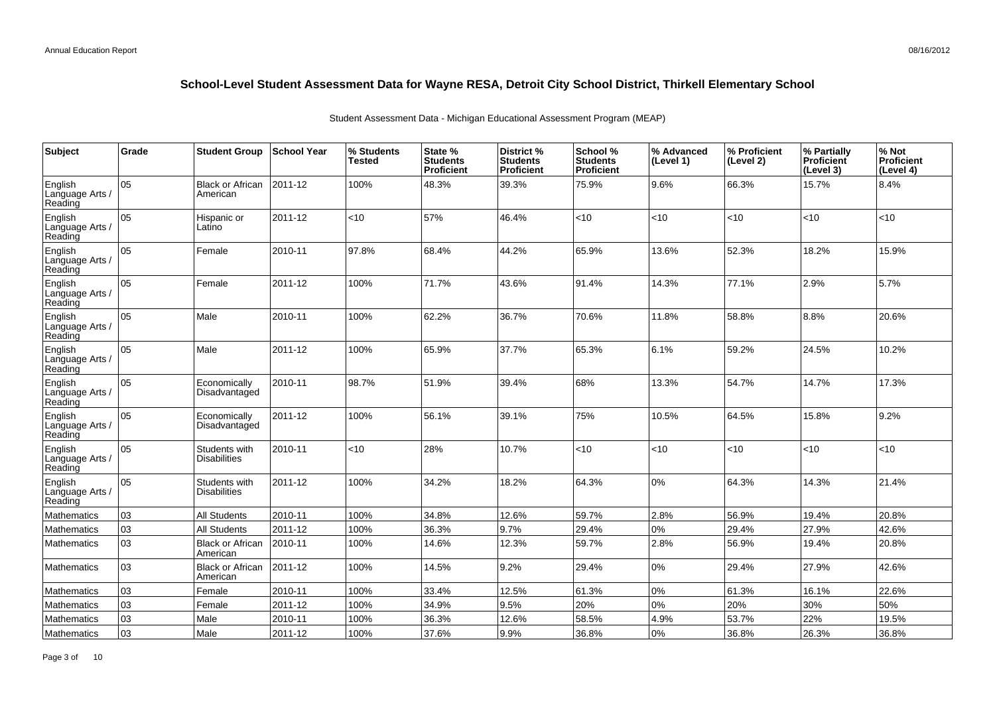| Subject                               | Grade | <b>Student Group</b>                 | School Year | % Students<br><b>Tested</b> | State %<br><b>Students</b><br>Proficient | District%<br><b>Students</b><br>Proficient | School %<br><b>Students</b><br><b>Proficient</b> | % Advanced<br>(Level 1) | % Proficient<br>(Level 2) | % Partially<br>Proficient<br>(Level 3) | % Not<br>Proficient<br>(Level 4) |
|---------------------------------------|-------|--------------------------------------|-------------|-----------------------------|------------------------------------------|--------------------------------------------|--------------------------------------------------|-------------------------|---------------------------|----------------------------------------|----------------------------------|
| English<br>Language Arts<br>Reading   | 05    | <b>Black or African</b><br>American  | 2011-12     | 100%                        | 48.3%                                    | 39.3%                                      | 75.9%                                            | 9.6%                    | 66.3%                     | 15.7%                                  | 8.4%                             |
| English<br>Language Arts /<br>Reading | 05    | Hispanic or<br>Latino                | 2011-12     | <10                         | 57%                                      | 46.4%                                      | < 10                                             | <10                     | <10                       | < 10                                   | <10                              |
| English<br>Language Arts /<br>Reading | 05    | Female                               | 2010-11     | 97.8%                       | 68.4%                                    | 44.2%                                      | 65.9%                                            | 13.6%                   | 52.3%                     | 18.2%                                  | 15.9%                            |
| English<br>Language Arts<br>Reading   | 05    | Female                               | 2011-12     | 100%                        | 71.7%                                    | 43.6%                                      | 91.4%                                            | 14.3%                   | 77.1%                     | 2.9%                                   | 5.7%                             |
| English<br>Language Arts<br>Reading   | 05    | Male                                 | 2010-11     | 100%                        | 62.2%                                    | 36.7%                                      | 70.6%                                            | 11.8%                   | 58.8%                     | 8.8%                                   | 20.6%                            |
| English<br>Language Arts<br>Reading   | 05    | Male                                 | 2011-12     | 100%                        | 65.9%                                    | 37.7%                                      | 65.3%                                            | 6.1%                    | 59.2%                     | 24.5%                                  | 10.2%                            |
| English<br>Language Arts<br>Reading   | 05    | Economically<br>Disadvantaged        | 2010-11     | 98.7%                       | 51.9%                                    | 39.4%                                      | 68%                                              | 13.3%                   | 54.7%                     | 14.7%                                  | 17.3%                            |
| English<br>Language Arts<br>Reading   | 05    | Economically<br>Disadvantaged        | 2011-12     | 100%                        | 56.1%                                    | 39.1%                                      | 75%                                              | 10.5%                   | 64.5%                     | 15.8%                                  | 9.2%                             |
| English<br>Language Arts /<br>Reading | 05    | Students with<br><b>Disabilities</b> | 2010-11     | $<$ 10                      | 28%                                      | 10.7%                                      | <10                                              | <10                     | <10                       | < 10                                   | <10                              |
| English<br>Language Arts /<br>Reading | 05    | Students with<br><b>Disabilities</b> | 2011-12     | 100%                        | 34.2%                                    | 18.2%                                      | 64.3%                                            | 0%                      | 64.3%                     | 14.3%                                  | 21.4%                            |
| Mathematics                           | 03    | All Students                         | 2010-11     | 100%                        | 34.8%                                    | 12.6%                                      | 59.7%                                            | 2.8%                    | 56.9%                     | 19.4%                                  | 20.8%                            |
| Mathematics                           | 03    | <b>All Students</b>                  | 2011-12     | 100%                        | 36.3%                                    | 9.7%                                       | 29.4%                                            | 0%                      | 29.4%                     | 27.9%                                  | 42.6%                            |
| Mathematics                           | 03    | <b>Black or African</b><br>American  | 2010-11     | 100%                        | 14.6%                                    | 12.3%                                      | 59.7%                                            | 2.8%                    | 56.9%                     | 19.4%                                  | 20.8%                            |
| <b>Mathematics</b>                    | 03    | <b>Black or African</b><br>American  | 2011-12     | 100%                        | 14.5%                                    | 9.2%                                       | 29.4%                                            | 0%                      | 29.4%                     | 27.9%                                  | 42.6%                            |
| Mathematics                           | 03    | Female                               | 2010-11     | 100%                        | 33.4%                                    | 12.5%                                      | 61.3%                                            | 0%                      | 61.3%                     | 16.1%                                  | 22.6%                            |
| <b>Mathematics</b>                    | 03    | Female                               | 2011-12     | 100%                        | 34.9%                                    | 9.5%                                       | 20%                                              | 0%                      | 20%                       | 30%                                    | 50%                              |
| Mathematics                           | 03    | Male                                 | 2010-11     | 100%                        | 36.3%                                    | 12.6%                                      | 58.5%                                            | 4.9%                    | 53.7%                     | 22%                                    | 19.5%                            |
| Mathematics                           | 03    | Male                                 | 2011-12     | 100%                        | 37.6%                                    | 9.9%                                       | 36.8%                                            | 0%                      | 36.8%                     | 26.3%                                  | 36.8%                            |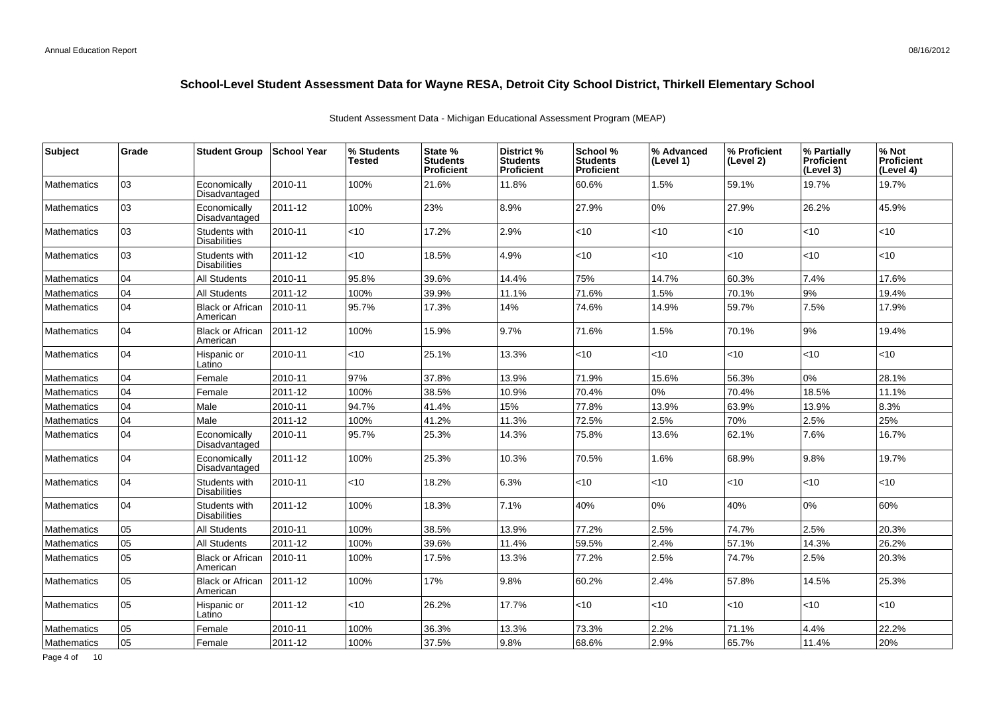| <b>Subject</b>     | Grade | <b>Student Group</b>                 | <b>School Year</b> | % Students<br><b>Tested</b> | State %<br><b>Students</b><br><b>Proficient</b> | <b>District %</b><br><b>Students</b><br><b>Proficient</b> | School %<br><b>Students</b><br><b>Proficient</b> | % Advanced<br>(Level 1) | % Proficient<br>(Level 2) | % Partially<br><b>Proficient</b><br>(Level 3) | % Not<br>Proficient<br>(Level 4) |
|--------------------|-------|--------------------------------------|--------------------|-----------------------------|-------------------------------------------------|-----------------------------------------------------------|--------------------------------------------------|-------------------------|---------------------------|-----------------------------------------------|----------------------------------|
| <b>Mathematics</b> | 03    | Economically<br>Disadvantaged        | 2010-11            | 100%                        | 21.6%                                           | 11.8%                                                     | 60.6%                                            | 1.5%                    | 59.1%                     | 19.7%                                         | 19.7%                            |
| Mathematics        | 03    | Economically<br>Disadvantaged        | 2011-12            | 100%                        | 23%                                             | 8.9%                                                      | 27.9%                                            | 0%                      | 27.9%                     | 26.2%                                         | 45.9%                            |
| Mathematics        | 03    | Students with<br><b>Disabilities</b> | 2010-11            | <10                         | 17.2%                                           | 2.9%                                                      | $<$ 10                                           | < 10                    | $<$ 10                    | $<$ 10                                        | <10                              |
| Mathematics        | 03    | Students with<br><b>Disabilities</b> | 2011-12            | $<10$                       | 18.5%                                           | 4.9%                                                      | $<$ 10                                           | < 10                    | <10                       | < 10                                          | <10                              |
| <b>Mathematics</b> | 04    | <b>All Students</b>                  | 2010-11            | 95.8%                       | 39.6%                                           | 14.4%                                                     | 75%                                              | 14.7%                   | 60.3%                     | 7.4%                                          | 17.6%                            |
| <b>Mathematics</b> | 04    | All Students                         | 2011-12            | 100%                        | 39.9%                                           | 11.1%                                                     | 71.6%                                            | 1.5%                    | 70.1%                     | 9%                                            | 19.4%                            |
| <b>Mathematics</b> | 04    | <b>Black or African</b><br>American  | 2010-11            | 95.7%                       | 17.3%                                           | 14%                                                       | 74.6%                                            | 14.9%                   | 59.7%                     | 7.5%                                          | 17.9%                            |
| <b>Mathematics</b> | 04    | <b>Black or African</b><br>American  | 2011-12            | 100%                        | 15.9%                                           | 9.7%                                                      | 71.6%                                            | 1.5%                    | 70.1%                     | 9%                                            | 19.4%                            |
| <b>Mathematics</b> | 04    | Hispanic or<br>Latino                | 2010-11            | < 10                        | 25.1%                                           | 13.3%                                                     | $<$ 10                                           | < 10                    | < 10                      | < 10                                          | <10                              |
| Mathematics        | 04    | Female                               | 2010-11            | 97%                         | 37.8%                                           | 13.9%                                                     | 71.9%                                            | 15.6%                   | 56.3%                     | 0%                                            | 28.1%                            |
| Mathematics        | 04    | Female                               | 2011-12            | 100%                        | 38.5%                                           | 10.9%                                                     | 70.4%                                            | 0%                      | 70.4%                     | 18.5%                                         | 11.1%                            |
| Mathematics        | 04    | Male                                 | 2010-11            | 94.7%                       | 41.4%                                           | 15%                                                       | 77.8%                                            | 13.9%                   | 63.9%                     | 13.9%                                         | 8.3%                             |
| <b>Mathematics</b> | 04    | Male                                 | 2011-12            | 100%                        | 41.2%                                           | 11.3%                                                     | 72.5%                                            | 2.5%                    | 70%                       | 2.5%                                          | 25%                              |
| <b>Mathematics</b> | 04    | Economically<br>Disadvantaged        | 2010-11            | 95.7%                       | 25.3%                                           | 14.3%                                                     | 75.8%                                            | 13.6%                   | 62.1%                     | 7.6%                                          | 16.7%                            |
| Mathematics        | 04    | Economically<br>Disadvantaged        | 2011-12            | 100%                        | 25.3%                                           | 10.3%                                                     | 70.5%                                            | 1.6%                    | 68.9%                     | 9.8%                                          | 19.7%                            |
| Mathematics        | 04    | Students with<br><b>Disabilities</b> | 2010-11            | < 10                        | 18.2%                                           | 6.3%                                                      | $<$ 10                                           | < 10                    | $<$ 10                    | $ $ < 10                                      | <10                              |
| Mathematics        | 04    | Students with<br><b>Disabilities</b> | 2011-12            | 100%                        | 18.3%                                           | 7.1%                                                      | 40%                                              | 0%                      | 40%                       | 0%                                            | 60%                              |
| <b>Mathematics</b> | 05    | All Students                         | 2010-11            | 100%                        | 38.5%                                           | 13.9%                                                     | 77.2%                                            | 2.5%                    | 74.7%                     | 2.5%                                          | 20.3%                            |
| <b>Mathematics</b> | 05    | <b>All Students</b>                  | 2011-12            | 100%                        | 39.6%                                           | 11.4%                                                     | 59.5%                                            | 2.4%                    | 57.1%                     | 14.3%                                         | 26.2%                            |
| <b>Mathematics</b> | 05    | <b>Black or African</b><br>American  | 2010-11            | 100%                        | 17.5%                                           | 13.3%                                                     | 77.2%                                            | 2.5%                    | 74.7%                     | 2.5%                                          | 20.3%                            |
| <b>Mathematics</b> | 05    | <b>Black or African</b><br>American  | 2011-12            | 100%                        | 17%                                             | 9.8%                                                      | 60.2%                                            | 2.4%                    | 57.8%                     | 14.5%                                         | 25.3%                            |
| <b>Mathematics</b> | 05    | Hispanic or<br>Latino                | 2011-12            | $<$ 10                      | 26.2%                                           | 17.7%                                                     | $<$ 10                                           | <10                     | <10                       | < 10                                          | <10                              |
| Mathematics        | 05    | Female                               | 2010-11            | 100%                        | 36.3%                                           | 13.3%                                                     | 73.3%                                            | 2.2%                    | 71.1%                     | 4.4%                                          | 22.2%                            |
| <b>Mathematics</b> | 05    | Female                               | 2011-12            | 100%                        | 37.5%                                           | 9.8%                                                      | 68.6%                                            | 2.9%                    | 65.7%                     | 11.4%                                         | 20%                              |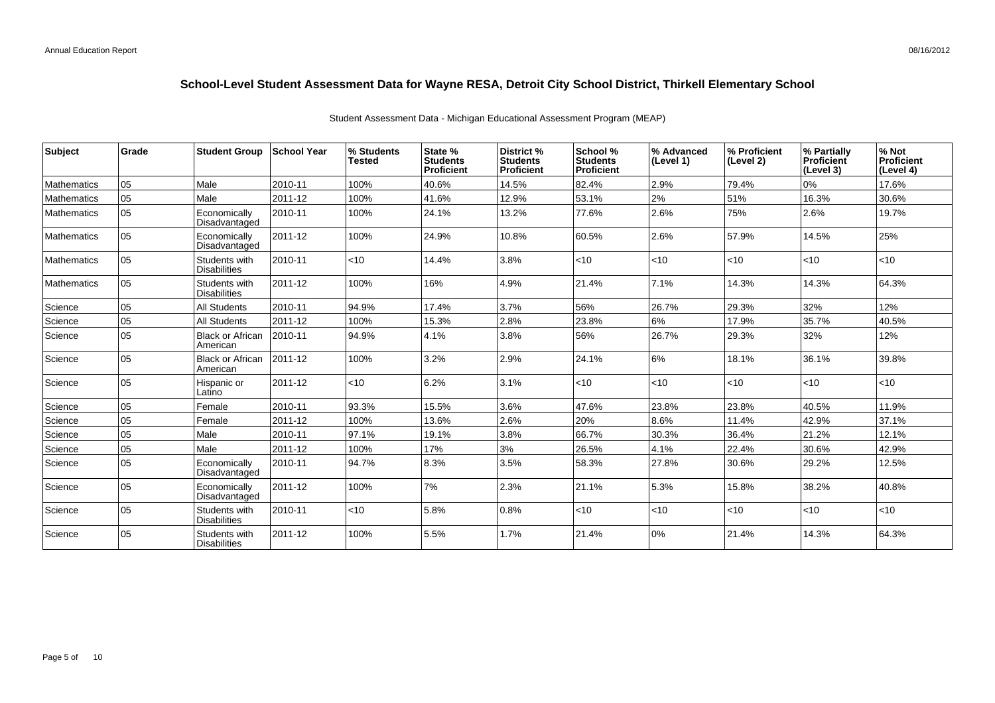| <b>Subject</b>     | Grade | <b>Student Group</b>                 | ∣School Year | % Students<br><b>Tested</b> | State %<br><b>Students</b><br>Proficient | <b>District %</b><br><b>Students</b><br><b>Proficient</b> | School %<br><b>Students</b><br><b>Proficient</b> | % Advanced<br>(Level 1) | % Proficient<br>(Level 2) | % Partially<br>Proficient<br>(Level 3) | % Not<br>Proficient<br>(Level 4) |
|--------------------|-------|--------------------------------------|--------------|-----------------------------|------------------------------------------|-----------------------------------------------------------|--------------------------------------------------|-------------------------|---------------------------|----------------------------------------|----------------------------------|
| Mathematics        | 05    | Male                                 | 2010-11      | 100%                        | 40.6%                                    | 14.5%                                                     | 82.4%                                            | 2.9%                    | 79.4%                     | 0%                                     | 17.6%                            |
| Mathematics        | 05    | Male                                 | 2011-12      | 100%                        | 41.6%                                    | 12.9%                                                     | 53.1%                                            | 2%                      | 51%                       | 16.3%                                  | 30.6%                            |
| <b>Mathematics</b> | 05    | Economically<br>Disadvantaged        | 2010-11      | 100%                        | 24.1%                                    | 13.2%                                                     | 77.6%                                            | 2.6%                    | 75%                       | 2.6%                                   | 19.7%                            |
| <b>Mathematics</b> | 05    | Economically<br>Disadvantaged        | 2011-12      | 100%                        | 24.9%                                    | 10.8%                                                     | 60.5%                                            | 2.6%                    | 57.9%                     | 14.5%                                  | 25%                              |
| <b>Mathematics</b> | 05    | Students with<br><b>Disabilities</b> | 2010-11      | $<$ 10                      | 14.4%                                    | 3.8%                                                      | $<$ 10                                           | < 10                    | $<$ 10                    | $ $ < 10                               | $<$ 10                           |
| <b>Mathematics</b> | 05    | Students with<br><b>Disabilities</b> | 2011-12      | 100%                        | 16%                                      | 4.9%                                                      | 21.4%                                            | 7.1%                    | 14.3%                     | 14.3%                                  | 64.3%                            |
| Science            | 05    | <b>All Students</b>                  | 2010-11      | 94.9%                       | 17.4%                                    | 3.7%                                                      | 56%                                              | 26.7%                   | 29.3%                     | 32%                                    | 12%                              |
| Science            | 05    | <b>All Students</b>                  | 2011-12      | 100%                        | 15.3%                                    | 2.8%                                                      | 23.8%                                            | 6%                      | 17.9%                     | 35.7%                                  | 40.5%                            |
| Science            | 05    | <b>Black or African</b><br>American  | 2010-11      | 94.9%                       | 4.1%                                     | 3.8%                                                      | 56%                                              | 26.7%                   | 29.3%                     | 32%                                    | 12%                              |
| Science            | 05    | <b>Black or African</b><br>American  | 2011-12      | 100%                        | 3.2%                                     | 2.9%                                                      | 24.1%                                            | 6%                      | 18.1%                     | 36.1%                                  | 39.8%                            |
| Science            | l 05  | Hispanic or<br>Latino                | 2011-12      | $ $ < 10                    | 6.2%                                     | 3.1%                                                      | $<$ 10                                           | < 10                    | $<$ 10                    | $ $ < 10                               | <10                              |
| Science            | 05    | Female                               | 2010-11      | 93.3%                       | 15.5%                                    | 3.6%                                                      | 47.6%                                            | 23.8%                   | 23.8%                     | 40.5%                                  | 11.9%                            |
| Science            | 05    | Female                               | 2011-12      | 100%                        | 13.6%                                    | 2.6%                                                      | 20%                                              | 8.6%                    | 11.4%                     | 42.9%                                  | 37.1%                            |
| Science            | 05    | Male                                 | 2010-11      | 97.1%                       | 19.1%                                    | 3.8%                                                      | 66.7%                                            | 30.3%                   | 36.4%                     | 21.2%                                  | 12.1%                            |
| Science            | 05    | Male                                 | 2011-12      | 100%                        | 17%                                      | 3%                                                        | 26.5%                                            | 4.1%                    | 22.4%                     | 30.6%                                  | 42.9%                            |
| Science            | 05    | Economically<br>Disadvantaged        | 2010-11      | 94.7%                       | 8.3%                                     | 3.5%                                                      | 58.3%                                            | 27.8%                   | 30.6%                     | 29.2%                                  | 12.5%                            |
| Science            | 05    | Economically<br>Disadvantaged        | 2011-12      | 100%                        | 7%                                       | 2.3%                                                      | 21.1%                                            | 5.3%                    | 15.8%                     | 38.2%                                  | 40.8%                            |
| Science            | 05    | Students with<br><b>Disabilities</b> | 2010-11      | $<$ 10                      | 5.8%                                     | 0.8%                                                      | $<$ 10                                           | < 10                    | $<$ 10                    | $ $ < 10                               | <10                              |
| Science            | 05    | Students with<br><b>Disabilities</b> | 2011-12      | 100%                        | 5.5%                                     | 1.7%                                                      | 21.4%                                            | 0%                      | 21.4%                     | 14.3%                                  | 64.3%                            |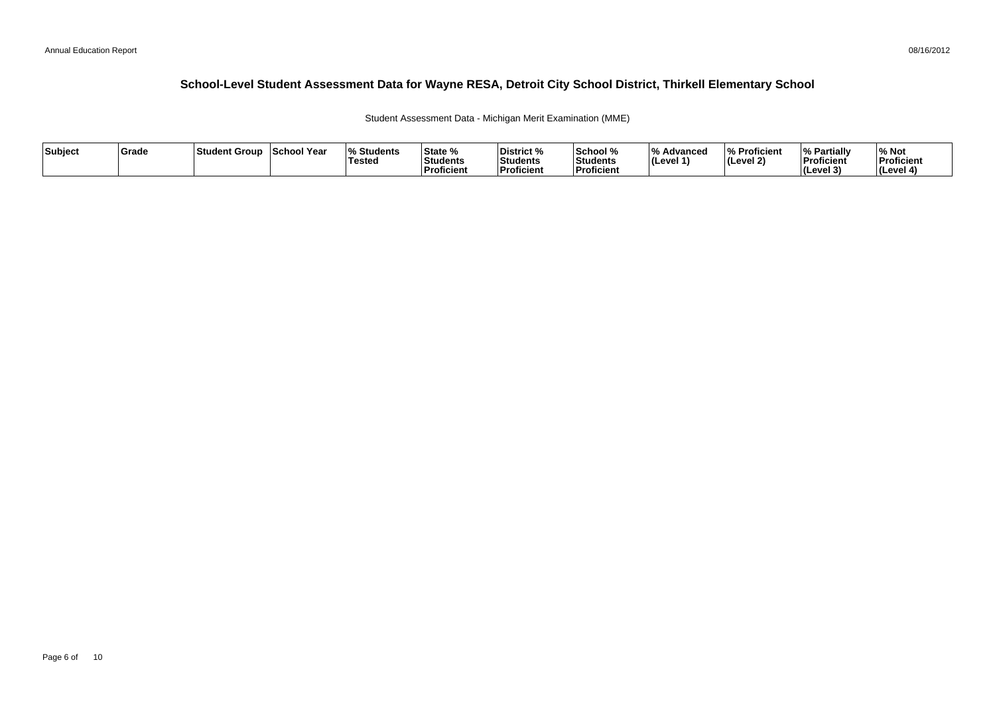Student Assessment Data - Michigan Merit Examination (MME)

| Subject | <b>Grade</b> | ⊺Student Group | School Year | <b>Students</b> l%<br>'Testeo | <b>State %</b><br>Students<br>Proficient | District %<br>Students<br><b>Proficient</b> | School %<br>Students<br>' Proficien. | /۱۵<br>Advanced<br>ILevel 1 | % Proficient<br>(Level 2) | <b>My Partially</b><br>Proficient<br>(Level 3) | % Not<br>Proficient<br>l (Level 4 |
|---------|--------------|----------------|-------------|-------------------------------|------------------------------------------|---------------------------------------------|--------------------------------------|-----------------------------|---------------------------|------------------------------------------------|-----------------------------------|
|---------|--------------|----------------|-------------|-------------------------------|------------------------------------------|---------------------------------------------|--------------------------------------|-----------------------------|---------------------------|------------------------------------------------|-----------------------------------|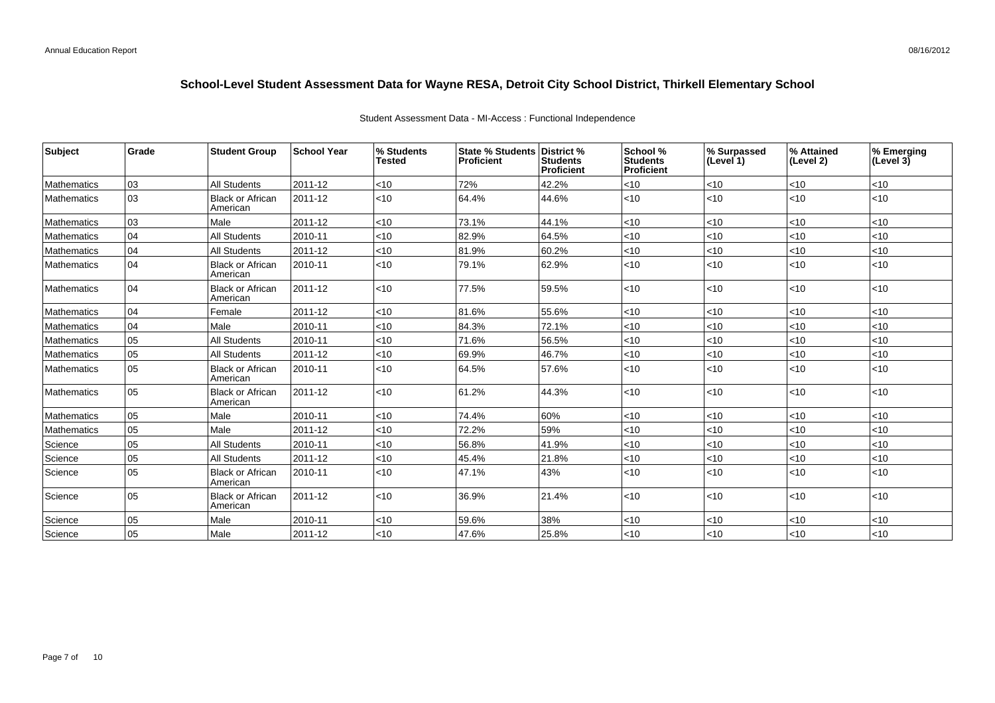| <b>Subject</b>     | Grade | <b>Student Group</b>                | <b>School Year</b> | % Students<br><b>Tested</b> | <b>State % Students</b><br>Proficient | <b>District</b> %<br>Students<br>Proficient | School %<br><b>Students</b><br><b>Proficient</b> | % Surpassed<br>(Level 1) | % Attained<br>(Level 2) | % Emerging<br>(Level $3)$ |
|--------------------|-------|-------------------------------------|--------------------|-----------------------------|---------------------------------------|---------------------------------------------|--------------------------------------------------|--------------------------|-------------------------|---------------------------|
| Mathematics        | 03    | <b>All Students</b>                 | 2011-12            | < 10                        | 72%                                   | 42.2%                                       | $<$ 10                                           | $<10$                    | <10                     | < 10                      |
| <b>Mathematics</b> | 03    | <b>Black or African</b><br>American | 2011-12            | < 10                        | 64.4%                                 | 44.6%                                       | $<$ 10                                           | <10                      | < 10                    | < 10                      |
| <b>Mathematics</b> | 03    | Male                                | 2011-12            | < 10                        | 73.1%                                 | 44.1%                                       | < 10                                             | $<$ 10                   | 10                      | < 10                      |
| <b>Mathematics</b> | 04    | <b>All Students</b>                 | 2010-11            | < 10                        | 82.9%                                 | 64.5%                                       | <10                                              | < 10                     | < 10                    | < 10                      |
| Mathematics        | 04    | <b>All Students</b>                 | 2011-12            | < 10                        | 81.9%                                 | 60.2%                                       | < 10                                             | < 10                     | <10                     | < 10                      |
| <b>Mathematics</b> | 04    | Black or African<br>American        | 2010-11            | < 10                        | 79.1%                                 | 62.9%                                       | $<$ 10                                           | < 10                     | <10                     | < 10                      |
| Mathematics        | 04    | Black or African<br>American        | 2011-12            | < 10                        | 77.5%                                 | 59.5%                                       | $<$ 10                                           | < 10                     | <10                     | < 10                      |
| <b>Mathematics</b> | 04    | Female                              | 2011-12            | < 10                        | 81.6%                                 | 55.6%                                       | < 10                                             | < 10                     | < 10                    | < 10                      |
| <b>Mathematics</b> | 04    | Male                                | 2010-11            | < 10                        | 84.3%                                 | 72.1%                                       | $<$ 10                                           | <10                      | <10                     | < 10                      |
| Mathematics        | 05    | <b>All Students</b>                 | 2010-11            | < 10                        | 71.6%                                 | 56.5%                                       | $<$ 10                                           | $<$ 10                   | $<$ 10                  | < 10                      |
| Mathematics        | 05    | <b>All Students</b>                 | 2011-12            | < 10                        | 69.9%                                 | 46.7%                                       | < 10                                             | <10                      | <10                     | < 10                      |
| <b>Mathematics</b> | 05    | <b>Black or African</b><br>American | 2010-11            | < 10                        | 64.5%                                 | 57.6%                                       | $<$ 10                                           | $<$ 10                   | <10                     | < 10                      |
| Mathematics        | 05    | Black or African<br>American        | 2011-12            | <10                         | 61.2%                                 | 44.3%                                       | $<$ 10                                           | <10                      | <10                     | < 10                      |
| <b>Mathematics</b> | 05    | Male                                | 2010-11            | <10                         | 74.4%                                 | 60%                                         | < 10                                             | $<$ 10                   | < 10                    | <10                       |
| <b>Mathematics</b> | 05    | Male                                | 2011-12            | < 10                        | 72.2%                                 | 59%                                         | <10                                              | $<$ 10                   | <10                     | < 10                      |
| Science            | 05    | <b>All Students</b>                 | 2010-11            | < 10                        | 56.8%                                 | 41.9%                                       | $<$ 10                                           | < 10                     | <10                     | < 10                      |
| Science            | 05    | <b>All Students</b>                 | 2011-12            | < 10                        | 45.4%                                 | 21.8%                                       | < 10                                             | $<$ 10                   | < 10                    | < 10                      |
| Science            | 05    | Black or African<br>American        | 2010-11            | < 10                        | 47.1%                                 | 43%                                         | $<$ 10                                           | $<$ 10                   | <10                     | < 10                      |
| Science            | 05    | Black or African<br>American        | 2011-12            | < 10                        | 36.9%                                 | 21.4%                                       | $<$ 10                                           | < 10                     | <10                     | < 10                      |
| Science            | 05    | Male                                | 2010-11            | < 10                        | 59.6%                                 | 38%                                         | < 10                                             | $<$ 10                   | < 10                    | < 10                      |
| Science            | 05    | Male                                | 2011-12            | < 10                        | 47.6%                                 | 25.8%                                       | <10                                              | < 10                     | <10                     | < 10                      |

#### Student Assessment Data - MI-Access : Functional Independence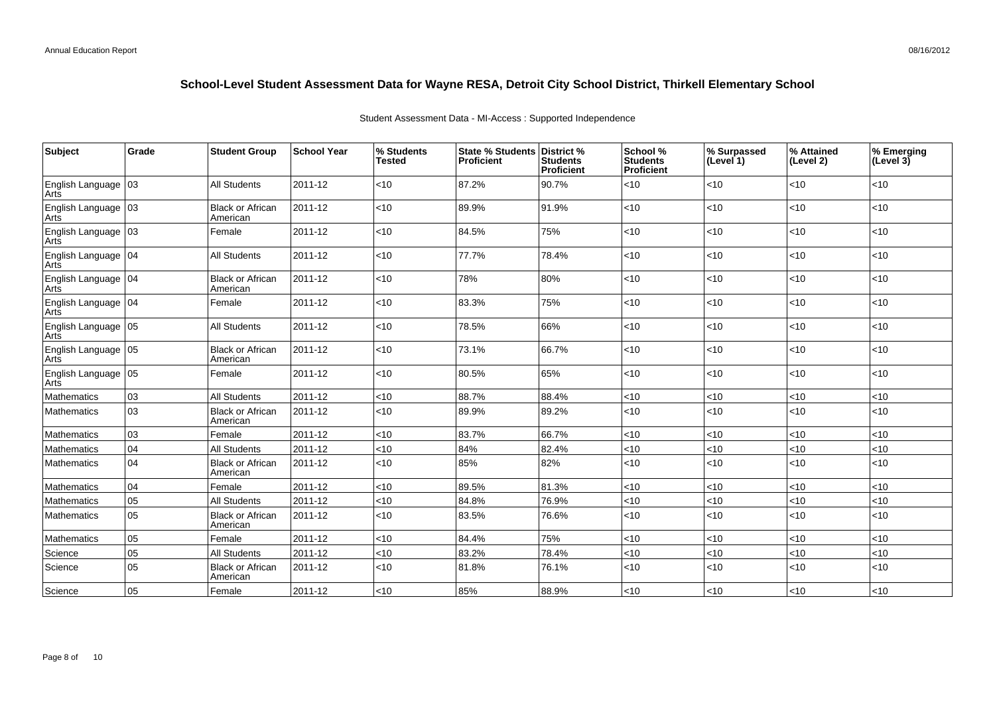| Subject                       | Grade | <b>Student Group</b>                | <b>School Year</b> | % Students<br><b>Tested</b> | State % Students District %<br>Proficient | <b>Students</b><br><b>Proficient</b> | School %<br><b>Students</b><br><b>Proficient</b> | % Surpassed<br>(Level 1) | % Attained<br>(Level 2) | % Emerging<br>$ $ (Level 3) |
|-------------------------------|-------|-------------------------------------|--------------------|-----------------------------|-------------------------------------------|--------------------------------------|--------------------------------------------------|--------------------------|-------------------------|-----------------------------|
| English Language   03<br>Arts |       | <b>All Students</b>                 | 2011-12            | <10                         | 87.2%                                     | 90.7%                                | $<$ 10                                           | $<$ 10                   | $<$ 10                  | $<$ 10                      |
| English Language 03<br>Arts   |       | <b>Black or African</b><br>American | 2011-12            | $<$ 10                      | 89.9%                                     | 91.9%                                | $<$ 10                                           | <10                      | <10                     | < 10                        |
| English Language 03           |       | Female                              | 2011-12            | <10                         | 84.5%                                     | 75%                                  | $<$ 10                                           | <10                      | <10                     | $<$ 10                      |
| English Language 04           |       | All Students                        | 2011-12            | <10                         | 77.7%                                     | 78.4%                                | $<$ 10                                           | <10                      | <10                     | ~10                         |
| English Language 04           |       | <b>Black or African</b><br>American | 2011-12            | <10                         | 78%                                       | 80%                                  | $<$ 10                                           | <10                      | <10                     | $<$ 10                      |
| English Language 04           |       | Female                              | 2011-12            | <10                         | 83.3%                                     | 75%                                  | $<$ 10                                           | $<$ 10                   | <10                     | < 10                        |
| English Language 05<br>Arts   |       | <b>All Students</b>                 | 2011-12            | < 10                        | 78.5%                                     | 66%                                  | $<$ 10                                           | <10                      | <10                     | < 10                        |
| English Language 05           |       | <b>Black or African</b><br>American | 2011-12            | < 10                        | 73.1%                                     | 66.7%                                | $<$ 10                                           | $<$ 10                   | <10                     | $<$ 10                      |
| English Language 05<br>Arts   |       | Female                              | 2011-12            | <10                         | 80.5%                                     | 65%                                  | $<$ 10                                           | $<$ 10                   | <10                     | $<$ 10                      |
| <b>Mathematics</b>            | 03    | <b>All Students</b>                 | 2011-12            | <10                         | 88.7%                                     | 88.4%                                | $<$ 10                                           | <10                      | <10                     | < 10                        |
| <b>Mathematics</b>            | 03    | <b>Black or African</b><br>American | 2011-12            | < 10                        | 89.9%                                     | 89.2%                                | $<$ 10                                           | $<$ 10                   | <10                     | $<$ 10                      |
| Mathematics                   | 03    | Female                              | 2011-12            | < 10                        | 83.7%                                     | 66.7%                                | $<$ 10                                           | $<$ 10                   | <10                     | < 10                        |
| <b>Mathematics</b>            | 04    | <b>All Students</b>                 | 2011-12            | $<$ 10                      | 84%                                       | 82.4%                                | $<$ 10                                           | <10                      | <10                     | <10                         |
| <b>Mathematics</b>            | 04    | <b>Black or African</b><br>American | 2011-12            | <10                         | 85%                                       | 82%                                  | $<$ 10                                           | < 10                     | <10                     | $<$ 10                      |
| <b>Mathematics</b>            | 04    | Female                              | 2011-12            | < 10                        | 89.5%                                     | 81.3%                                | $<$ 10                                           | <10                      | <10                     | < 10                        |
| Mathematics                   | 05    | All Students                        | 2011-12            | <10                         | 84.8%                                     | 76.9%                                | $<$ 10                                           | < 10                     | <10                     | < 10                        |
| <b>Mathematics</b>            | 05    | <b>Black or African</b><br>American | 2011-12            | <10                         | 83.5%                                     | 76.6%                                | $<$ 10                                           | $<$ 10                   | <10                     | $<$ 10                      |
| Mathematics                   | 05    | Female                              | 2011-12            | $<10$                       | 84.4%                                     | 75%                                  | $<$ 10                                           | < 10                     | <10                     | $<$ 10                      |
| Science                       | 05    | <b>All Students</b>                 | 2011-12            | <10                         | 83.2%                                     | 78.4%                                | $<$ 10                                           | < 10                     | <10                     | < 10                        |
| Science                       | 05    | <b>Black or African</b><br>American | 2011-12            | <10                         | 81.8%                                     | 76.1%                                | $<$ 10                                           | $<$ 10                   | <10                     | $<$ 10                      |
| Science                       | 05    | Female                              | 2011-12            | < 10                        | 85%                                       | 88.9%                                | $<$ 10                                           | < 10                     | <10                     | $<$ 10                      |

Student Assessment Data - MI-Access : Supported Independence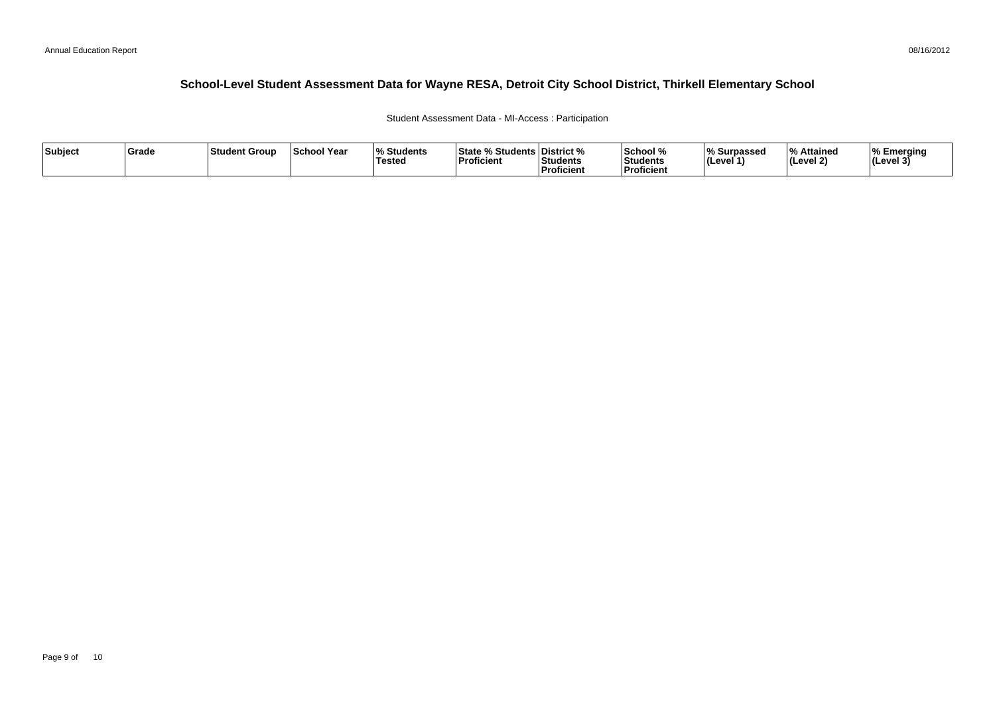Student Assessment Data - MI-Access : Participation

| Subject | Grade | Student Group | <b>School Year</b> | $\mathbf{a}$<br>Students<br><b>Tested</b> | <b>State % Students District %</b><br>'Proficient | Students<br>Proficient | School %<br>Students<br><b>Proficient</b> | % Surpassed<br>(Level 1 | % Attained<br>l (Level 2) | ∣% Emeraina<br> (Level 3) |
|---------|-------|---------------|--------------------|-------------------------------------------|---------------------------------------------------|------------------------|-------------------------------------------|-------------------------|---------------------------|---------------------------|
|---------|-------|---------------|--------------------|-------------------------------------------|---------------------------------------------------|------------------------|-------------------------------------------|-------------------------|---------------------------|---------------------------|